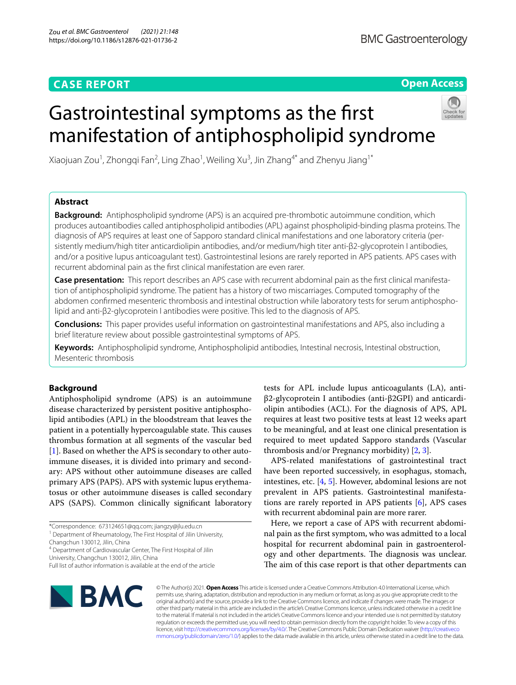# **CASE REPORT**

**Open Access**

# Gastrointestinal symptoms as the frst manifestation of antiphospholipid syndrome



Xiaojuan Zou<sup>1</sup>, Zhongqi Fan<sup>2</sup>, Ling Zhao<sup>1</sup>, Weiling Xu<sup>3</sup>, Jin Zhang<sup>4\*</sup> and Zhenyu Jiang<sup>1\*</sup>

# **Abstract**

**Background:** Antiphospholipid syndrome (APS) is an acquired pre-thrombotic autoimmune condition, which produces autoantibodies called antiphospholipid antibodies (APL) against phospholipid-binding plasma proteins. The diagnosis of APS requires at least one of Sapporo standard clinical manifestations and one laboratory criteria (persistently medium/high titer anticardiolipin antibodies, and/or medium/high titer anti-β2-glycoprotein I antibodies, and/or a positive lupus anticoagulant test). Gastrointestinal lesions are rarely reported in APS patients. APS cases with recurrent abdominal pain as the frst clinical manifestation are even rarer.

**Case presentation:** This report describes an APS case with recurrent abdominal pain as the frst clinical manifestation of antiphospholipid syndrome. The patient has a history of two miscarriages. Computed tomography of the abdomen confrmed mesenteric thrombosis and intestinal obstruction while laboratory tests for serum antiphospholipid and anti-β2-glycoprotein I antibodies were positive. This led to the diagnosis of APS.

**Conclusions:** This paper provides useful information on gastrointestinal manifestations and APS, also including a brief literature review about possible gastrointestinal symptoms of APS.

**Keywords:** Antiphospholipid syndrome, Antiphospholipid antibodies, Intestinal necrosis, Intestinal obstruction, Mesenteric thrombosis

# **Background**

Antiphospholipid syndrome (APS) is an autoimmune disease characterized by persistent positive antiphospholipid antibodies (APL) in the bloodstream that leaves the patient in a potentially hypercoagulable state. This causes thrombus formation at all segments of the vascular bed [[1\]](#page-4-0). Based on whether the APS is secondary to other autoimmune diseases, it is divided into primary and secondary: APS without other autoimmune diseases are called primary APS (PAPS). APS with systemic lupus erythematosus or other autoimmune diseases is called secondary APS (SAPS). Common clinically signifcant laboratory

Changchun 130012, Jilin, China

<sup>4</sup> Department of Cardiovascular Center, The First Hospital of Jilin University, Changchun 130012, Jilin, China

tests for APL include lupus anticoagulants (LA), antiβ2-glycoprotein I antibodies (anti-β2GPI) and anticardiolipin antibodies (ACL). For the diagnosis of APS, APL requires at least two positive tests at least 12 weeks apart to be meaningful, and at least one clinical presentation is required to meet updated Sapporo standards (Vascular thrombosis and/or Pregnancy morbidity) [\[2](#page-4-1), [3\]](#page-4-2).

APS-related manifestations of gastrointestinal tract have been reported successively, in esophagus, stomach, intestines, etc. [\[4](#page-4-3), [5\]](#page-4-4). However, abdominal lesions are not prevalent in APS patients. Gastrointestinal manifestations are rarely reported in APS patients  $[6]$  $[6]$ , APS cases with recurrent abdominal pain are more rarer.

Here, we report a case of APS with recurrent abdominal pain as the frst symptom, who was admitted to a local hospital for recurrent abdominal pain in gastroenterology and other departments. The diagnosis was unclear. The aim of this case report is that other departments can



© The Author(s) 2021. **Open Access** This article is licensed under a Creative Commons Attribution 4.0 International License, which permits use, sharing, adaptation, distribution and reproduction in any medium or format, as long as you give appropriate credit to the original author(s) and the source, provide a link to the Creative Commons licence, and indicate if changes were made. The images or other third party material in this article are included in the article's Creative Commons licence, unless indicated otherwise in a credit line to the material. If material is not included in the article's Creative Commons licence and your intended use is not permitted by statutory regulation or exceeds the permitted use, you will need to obtain permission directly from the copyright holder. To view a copy of this licence, visit [http://creativecommons.org/licenses/by/4.0/.](http://creativecommons.org/licenses/by/4.0/) The Creative Commons Public Domain Dedication waiver ([http://creativeco](http://creativecommons.org/publicdomain/zero/1.0/) [mmons.org/publicdomain/zero/1.0/](http://creativecommons.org/publicdomain/zero/1.0/)) applies to the data made available in this article, unless otherwise stated in a credit line to the data.

<sup>\*</sup>Correspondence: 673124651@qq.com; jiangzy@jlu.edu.cn

<sup>&</sup>lt;sup>1</sup> Department of Rheumatology, The First Hospital of Jilin University,

Full list of author information is available at the end of the article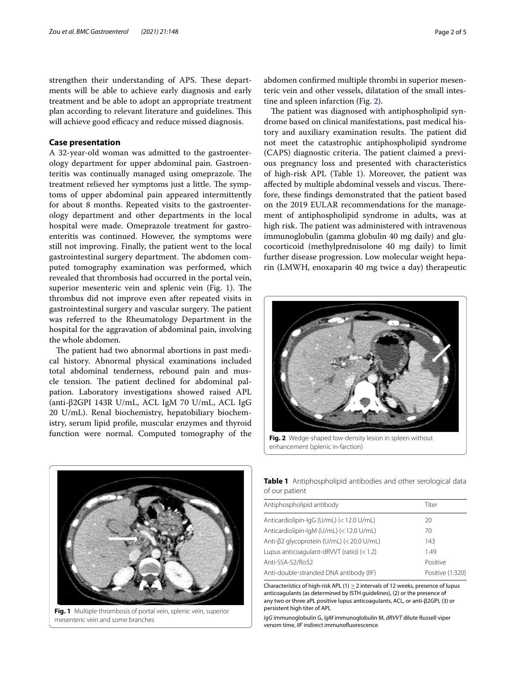strengthen their understanding of APS. These departments will be able to achieve early diagnosis and early treatment and be able to adopt an appropriate treatment plan according to relevant literature and guidelines. This will achieve good efficacy and reduce missed diagnosis.

## **Case presentation**

A 32-year-old woman was admitted to the gastroenterology department for upper abdominal pain. Gastroenteritis was continually managed using omeprazole. The treatment relieved her symptoms just a little. The symptoms of upper abdominal pain appeared intermittently for about 8 months. Repeated visits to the gastroenterology department and other departments in the local hospital were made. Omeprazole treatment for gastroenteritis was continued. However, the symptoms were still not improving. Finally, the patient went to the local gastrointestinal surgery department. The abdomen computed tomography examination was performed, which revealed that thrombosis had occurred in the portal vein, superior mesenteric vein and splenic vein (Fig. [1\)](#page-1-0). The thrombus did not improve even after repeated visits in gastrointestinal surgery and vascular surgery. The patient was referred to the Rheumatology Department in the hospital for the aggravation of abdominal pain, involving the whole abdomen.

The patient had two abnormal abortions in past medical history. Abnormal physical examinations included total abdominal tenderness, rebound pain and muscle tension. The patient declined for abdominal palpation. Laboratory investigations showed raised APL (anti-β2GPI 143R U/mL, ACL IgM 70 U/mL, ACL IgG 20 U/mL). Renal biochemistry, hepatobiliary biochemistry, serum lipid profle, muscular enzymes and thyroid function were normal. Computed tomography of the abdomen confrmed multiple thrombi in superior mesenteric vein and other vessels, dilatation of the small intestine and spleen infarction (Fig. [2\)](#page-1-1).

The patient was diagnosed with antiphospholipid syndrome based on clinical manifestations, past medical history and auxiliary examination results. The patient did not meet the catastrophic antiphospholipid syndrome (CAPS) diagnostic criteria. The patient claimed a previous pregnancy loss and presented with characteristics of high-risk APL (Table [1](#page-1-2)). Moreover, the patient was affected by multiple abdominal vessels and viscus. Therefore, these fndings demonstrated that the patient based on the 2019 EULAR recommendations for the management of antiphospholipid syndrome in adults, was at high risk. The patient was administered with intravenous immunoglobulin (gamma globulin 40 mg daily) and glucocorticoid (methylprednisolone 40 mg daily) to limit further disease progression. Low molecular weight heparin (LMWH, enoxaparin 40 mg twice a day) therapeutic



**Fig. 2** Wedge-shaped low-density lesion in spleen without enhancement (splenic in-farction)

<span id="page-1-0"></span>

**Fig. 1** Multiple thrombosis of portal vein, splenic vein, superior mesenteric vein and some branches

<span id="page-1-2"></span><span id="page-1-1"></span>**Table 1** Antiphospholipid antibodies and other serological data of our patient

| Antiphospholipid antibody                   | Titer            |
|---------------------------------------------|------------------|
| Anticardiolipin-IgG (U/mL) (<12.0 U/mL)     | 20               |
| Anticardiolipin-IgM (U/mL) (<12.0 U/mL)     | 70               |
| Anti-β2 glycoprotein (U/mL) (< 20.0 U/mL)   | 143              |
| Lupus anticoagulant-dRVVT (ratio) $(< 1.2)$ | 1.49             |
| Anti-SSA-52/Ro52                            | Positive         |
| Anti-double-stranded DNA antibody (IIF)     | Positive (1:320) |

Characteristics of high-risk APL (1)  $\geq$  2 intervals of 12 weeks, presence of lupus anticoagulants (as determined by ISTH guidelines), (2) or the presence of any two or three aPL positive lupus anticoagulants, ACL, or anti-β2GPI, (3) or persistent high titer of APL

*IgG* immunoglobulin G, *IgM* immunoglobulin M, *dRVVT* dilute Russell viper venom time, *IIF* indirect immunofuorescence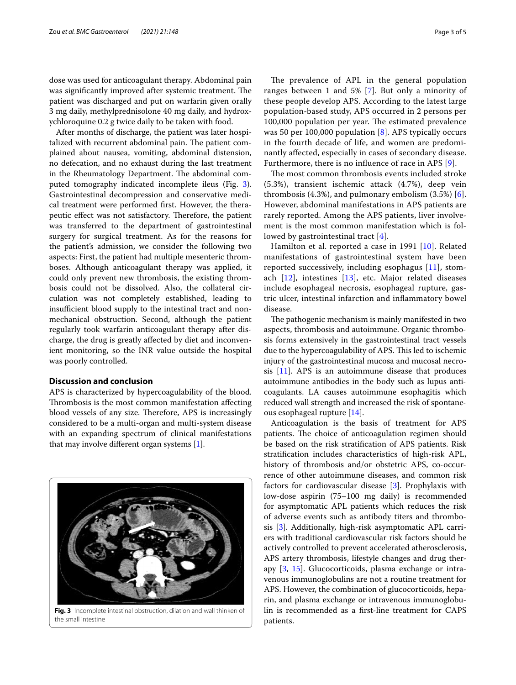dose was used for anticoagulant therapy. Abdominal pain was significantly improved after systemic treatment. The patient was discharged and put on warfarin given orally 3 mg daily, methylprednisolone 40 mg daily, and hydroxychloroquine 0.2 g twice daily to be taken with food.

After months of discharge, the patient was later hospitalized with recurrent abdominal pain. The patient complained about nausea, vomiting, abdominal distension, no defecation, and no exhaust during the last treatment in the Rheumatology Department. The abdominal computed tomography indicated incomplete ileus (Fig. [3](#page-2-0)). Gastrointestinal decompression and conservative medical treatment were performed frst. However, the therapeutic effect was not satisfactory. Therefore, the patient was transferred to the department of gastrointestinal surgery for surgical treatment. As for the reasons for the patient's admission, we consider the following two aspects: First, the patient had multiple mesenteric thromboses. Although anticoagulant therapy was applied, it could only prevent new thrombosis, the existing thrombosis could not be dissolved. Also, the collateral circulation was not completely established, leading to insufficient blood supply to the intestinal tract and nonmechanical obstruction. Second, although the patient regularly took warfarin anticoagulant therapy after discharge, the drug is greatly afected by diet and inconvenient monitoring, so the INR value outside the hospital was poorly controlled.

# **Discussion and conclusion**

APS is characterized by hypercoagulability of the blood. Thrombosis is the most common manifestation affecting blood vessels of any size. Therefore, APS is increasingly considered to be a multi-organ and multi-system disease with an expanding spectrum of clinical manifestations that may involve diferent organ systems [\[1](#page-4-0)].



<span id="page-2-0"></span>the small intestine

The prevalence of APL in the general population ranges between 1 and 5% [\[7](#page-4-6)]. But only a minority of these people develop APS. According to the latest large population-based study, APS occurred in 2 persons per 100,000 population per year. The estimated prevalence was 50 per 100,000 population [[8](#page-4-7)]. APS typically occurs in the fourth decade of life, and women are predominantly afected, especially in cases of secondary disease. Furthermore, there is no infuence of race in APS [[9\]](#page-4-8).

The most common thrombosis events included stroke (5.3%), transient ischemic attack (4.7%), deep vein thrombosis  $(4.3\%)$ , and pulmonary embolism  $(3.5\%)$  [[6](#page-4-5)]. However, abdominal manifestations in APS patients are rarely reported. Among the APS patients, liver involvement is the most common manifestation which is followed by gastrointestinal tract [[4](#page-4-3)].

Hamilton et al. reported a case in 1991 [\[10](#page-4-9)]. Related manifestations of gastrointestinal system have been reported successively, including esophagus [[11\]](#page-4-10), stomach  $[12]$  $[12]$  $[12]$ , intestines  $[13]$  $[13]$  $[13]$ , etc. Major related diseases include esophageal necrosis, esophageal rupture, gastric ulcer, intestinal infarction and infammatory bowel disease.

The pathogenic mechanism is mainly manifested in two aspects, thrombosis and autoimmune. Organic thrombosis forms extensively in the gastrointestinal tract vessels due to the hypercoagulability of APS. This led to ischemic injury of the gastrointestinal mucosa and mucosal necrosis [[11\]](#page-4-10). APS is an autoimmune disease that produces autoimmune antibodies in the body such as lupus anticoagulants. LA causes autoimmune esophagitis which reduced wall strength and increased the risk of spontaneous esophageal rupture [\[14](#page-4-13)].

Anticoagulation is the basis of treatment for APS patients. The choice of anticoagulation regimen should be based on the risk stratifcation of APS patients. Risk stratifcation includes characteristics of high-risk APL, history of thrombosis and/or obstetric APS, co-occurrence of other autoimmune diseases, and common risk factors for cardiovascular disease [\[3](#page-4-2)]. Prophylaxis with low-dose aspirin (75–100 mg daily) is recommended for asymptomatic APL patients which reduces the risk of adverse events such as antibody titers and thrombosis [[3\]](#page-4-2). Additionally, high-risk asymptomatic APL carriers with traditional cardiovascular risk factors should be actively controlled to prevent accelerated atherosclerosis, APS artery thrombosis, lifestyle changes and drug therapy [[3,](#page-4-2) [15\]](#page-4-14). Glucocorticoids, plasma exchange or intravenous immunoglobulins are not a routine treatment for APS. However, the combination of glucocorticoids, heparin, and plasma exchange or intravenous immunoglobulin is recommended as a frst-line treatment for CAPS patients.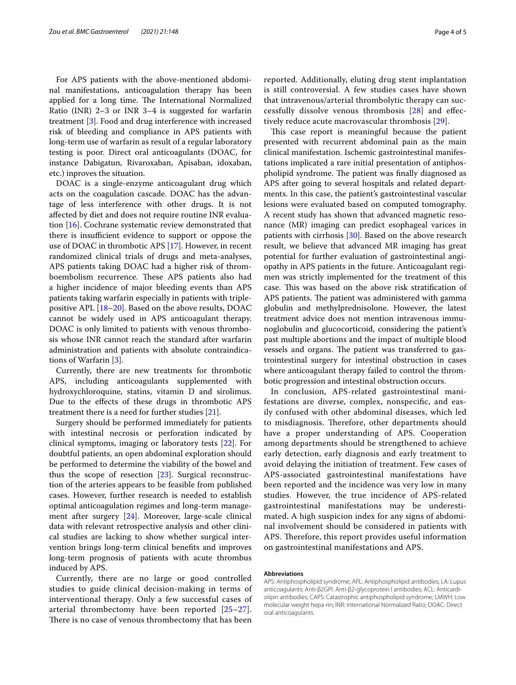For APS patients with the above-mentioned abdominal manifestations, anticoagulation therapy has been applied for a long time. The International Normalized Ratio (INR) 2–3 or INR 3–4 is suggested for warfarin treatment [[3\]](#page-4-2). Food and drug interference with increased risk of bleeding and compliance in APS patients with long-term use of warfarin as result of a regular laboratory testing is poor. Direct oral anticoagulants (DOAC, for instance Dabigatun, Rivaroxaban, Apisaban, idoxaban, etc.) inproves the situation.

DOAC is a single-enzyme anticoagulant drug which acts on the coagulation cascade. DOAC has the advantage of less interference with other drugs. It is not afected by diet and does not require routine INR evaluation [\[16\]](#page-4-15). Cochrane systematic review demonstrated that there is insufficient evidence to support or oppose the use of DOAC in thrombotic APS [\[17\]](#page-4-16). However, in recent randomized clinical trials of drugs and meta-analyses, APS patients taking DOAC had a higher risk of thromboembolism recurrence. These APS patients also had a higher incidence of major bleeding events than APS patients taking warfarin especially in patients with triplepositive APL [[18–](#page-4-17)[20](#page-4-18)]. Based on the above results, DOAC cannot be widely used in APS anticoagulant therapy. DOAC is only limited to patients with venous thrombosis whose INR cannot reach the standard after warfarin administration and patients with absolute contraindications of Warfarin [\[3](#page-4-2)].

Currently, there are new treatments for thrombotic APS, including anticoagulants supplemented with hydroxychloroquine, statins, vitamin D and sirolimus. Due to the efects of these drugs in thrombotic APS treatment there is a need for further studies [\[21\]](#page-4-19).

Surgery should be performed immediately for patients with intestinal necrosis or perforation indicated by clinical symptoms, imaging or laboratory tests [[22\]](#page-4-20). For doubtful patients, an open abdominal exploration should be performed to determine the viability of the bowel and thus the scope of resection [[23\]](#page-4-21). Surgical reconstruction of the arteries appears to be feasible from published cases. However, further research is needed to establish optimal anticoagulation regimes and long-term management after surgery [[24\]](#page-4-22). Moreover, large-scale clinical data with relevant retrospective analysis and other clinical studies are lacking to show whether surgical intervention brings long-term clinical benefts and improves long-term prognosis of patients with acute thrombus induced by APS.

Currently, there are no large or good controlled studies to guide clinical decision-making in terms of interventional therapy. Only a few successful cases of arterial thrombectomy have been reported [[25–](#page-4-23)[27\]](#page-4-24). There is no case of venous thrombectomy that has been reported. Additionally, eluting drug stent implantation is still controversial. A few studies cases have shown that intravenous/arterial thrombolytic therapy can successfully dissolve venous thrombosis [[28\]](#page-4-25) and efectively reduce acute macrovascular thrombosis [\[29\]](#page-4-26).

This case report is meaningful because the patient presented with recurrent abdominal pain as the main clinical manifestation. Ischemic gastrointestinal manifestations implicated a rare initial presentation of antiphospholipid syndrome. The patient was finally diagnosed as APS after going to several hospitals and related departments. In this case, the patient's gastrointestinal vascular lesions were evaluated based on computed tomography. A recent study has shown that advanced magnetic resonance (MR) imaging can predict esophageal varices in patients with cirrhosis [[30\]](#page-4-27). Based on the above research result, we believe that advanced MR imaging has great potential for further evaluation of gastrointestinal angiopathy in APS patients in the future. Anticoagulant regimen was strictly implemented for the treatment of this case. This was based on the above risk stratification of APS patients. The patient was administered with gamma globulin and methylprednisolone. However, the latest treatment advice does not mention intravenous immunoglobulin and glucocorticoid, considering the patient's past multiple abortions and the impact of multiple blood vessels and organs. The patient was transferred to gastrointestinal surgery for intestinal obstruction in cases where anticoagulant therapy failed to control the thrombotic progression and intestinal obstruction occurs.

In conclusion, APS-related gastrointestinal manifestations are diverse, complex, nonspecifc, and easily confused with other abdominal diseases, which led to misdiagnosis. Therefore, other departments should have a proper understanding of APS. Cooperation among departments should be strengthened to achieve early detection, early diagnosis and early treatment to avoid delaying the initiation of treatment. Few cases of APS-associated gastrointestinal manifestations have been reported and the incidence was very low in many studies. However, the true incidence of APS-related gastrointestinal manifestations may be underestimated. A high suspicion index for any signs of abdominal involvement should be considered in patients with APS. Therefore, this report provides useful information on gastrointestinal manifestations and APS.

#### **Abbreviations**

APS: Antiphospholipid syndrome; APL: Antiphospholipid antibodies; LA: Lupus anticoagulants; Anti-β2GPI: Anti-β2-glycoprotein I antibodies; ACL: Anticardiolipin antibodies; CAPS: Catastrophic antiphospholipid syndrome; LMWH: Low molecular weight hepa-rin; INR: International Normalized Ratio; DOAC: Direct oral anticoagulants.